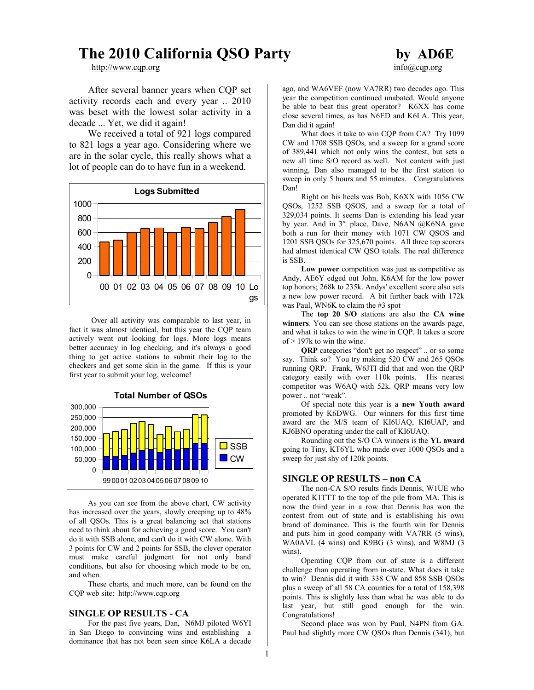# **The 2010 California QSO Party by AD6E**

[http://www.cqp.org](http://www.cqp.org/) info@cqp.org info@cqp.org

After several banner years when CQP set activity records each and every year .. 2010 was beset with the lowest solar activity in a decade ... Yet, we did it again!

We received a total of 921 logs compared to 821 logs a year ago. Considering where we are in the solar cycle, this really shows what a lot of people can do to have fun in a weekend.



Over all activity was comparable to last year, in fact it was almost identical, but this year the CQP team actively went out looking for logs. More logs means better accuracy in log checking, and it's always a good thing to get active stations to submit their log to the checkers and get some skin in the game. If this is your first year to submit your log, welcome!



As you can see from the above chart, CW activity has increased over the years, slowly creeping up to 48% of all QSOs. This is a great balancing act that stations need to think about for achieving a good score. You can't do it with SSB alone, and can't do it with CW alone. With 3 points for CW and 2 points for SSB, the clever operator must make careful judgment for not only band conditions, but also for choosing which mode to be on, and when.

These charts, and much more, can be found on the CQP web site: http://www.cqp.org

# **SINGLE OP RESULTS - CA**

For the past five years, Dan, N6MJ piloted W6YI in San Diego to convincing wins and establishing a dominance that has not been seen since K6LA a decade

ago, and WA6VEF (now VA7RR) two decades ago. This year the competition continued unabated. Would anyone be able to beat this great operator? K6XX has come close several times, as has N6ED and K6LA. This year, Dan did it again!

What does it take to win CQP from CA? Try 1099 CW and 1708 SSB QSOs, and a sweep for a grand score of 389,441 which not only wins the contest, but sets a new all time S/O record as well. Not content with just winning, Dan also managed to be the first station to sweep in only 5 hours and 55 minutes. Congratulations Dan!

Right on his heels was Bob, K6XX with 1056 CW QSOs, 1252 SSB QSOS, and a sweep for a total of 329,034 points. It seems Dan is extending his lead year by year. And in 3<sup>rd</sup> place, Dave, N6AN @K6NA gave both a run for their money with 1071 CW QSOS and 1201 SSB QSOs for 325,670 points. All three top scorers had almost identical CW QSO totals. The real difference is SSB.

**Low power** competition was just as competitive as Andy, AE6Y edged out John, K6AM for the low power top honors; 268k to 235k. Andys' excellent score also sets a new low power record. A bit further back with 172k was Paul, WN6K to claim the #3 spot

The **top 20 S/O** stations are also the **CA wine winners**. You can see those stations on the awards page, and what it takes to win the wine in CQP. It takes a score of > 197k to win the wine.

**QRP** categories "don't get no respect" .. or so some say. Think so? You try making 520 CW and 265 QSOs running QRP. Frank, W6JTI did that and won the QRP category easily with over 110k points. His nearest competitor was W6AQ with 52k. QRP means very low power .. not "weak".

Of special note this year is a **new Youth award** promoted by K6DWG. Our winners for this first time award are the M/S team of KI6UAQ, KI6UAP, and KJ6BNO operating under the call of KI6UAQ.

Rounding out the S/O CA winners is the **YL award** going to Tiny, KT6YL who made over 1000 QSOs and a sweep for just shy of 120k points.

# **SINGLE OP RESULTS – non CA**

The non-CA S/O results finds Dennis, W1UE who operated K1TTT to the top of the pile from MA. This is now the third year in a row that Dennis has won the contest from out of state and is establishing his own brand of dominance. This is the fourth win for Dennis and puts him in good company with VA7RR (5 wins), WA0AVL (4 wins) and K9BG (3 wins), and W8MJ (3 wins).

Operating CQP from out of state is a different challenge than operating from in-state. What does it take to win? Dennis did it with 338 CW and 858 SSB QSOs plus a sweep of all 58 CA counties for a total of 158,398 points. This is slightly less than what he was able to do last year, but still good enough for the win. Congratulations!

Second place was won by Paul, N4PN from GA. Paul had slightly more CW QSOs than Dennis (341), but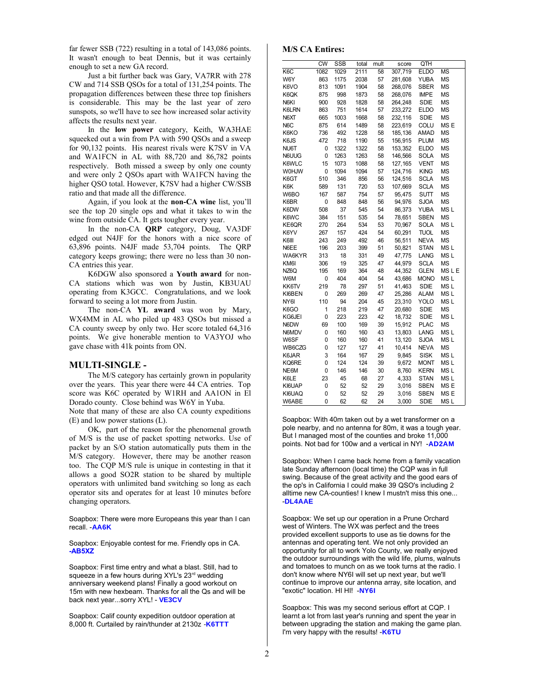far fewer SSB (722) resulting in a total of 143,086 points. It wasn't enough to beat Dennis, but it was certainly enough to set a new GA record.

Just a bit further back was Gary, VA7RR with 278 CW and 714 SSB QSOs for a total of 131,254 points. The propagation differences between these three top finishers is considerable. This may be the last year of zero sunspots, so we'll have to see how increased solar activity affects the results next year.

In the **low power** category, Keith, WA3HAE squeeked out a win from PA with 590 QSOs and a sweep for 90,132 points. His nearest rivals were K7SV in VA and WA1FCN in AL with 88,720 and 86,782 points respectively. Both missed a sweep by only one county and were only 2 QSOs apart with WA1FCN having the higher QSO total. However, K7SV had a higher CW/SSB ratio and that made all the difference.

Again, if you look at the **non-CA wine** list, you'll see the top 20 single ops and what it takes to win the wine from outside CA. It gets tougher every year.

In the non-CA **QRP** category, Doug, VA3DF edged out N4JF for the honors with a nice score of 63,896 points. N4JF made 53,704 points. The QRP category keeps growing; there were no less than 30 non-CA entries this year.

K6DGW also sponsored a **Youth award** for non-CA stations which was won by Justin, KB3UAU operating from K3GCC. Congratulations, and we look forward to seeing a lot more from Justin.

The non-CA **YL award** was won by Mary, WX4MM in AL who piled up 483 QSOs but missed a CA county sweep by only two. Her score totaled 64,316 points. We give honerable mention to VA3YOJ who gave chase with 41k points from ON.

#### **MULTI-SINGLE -**

The M/S category has certainly grown in popularity over the years. This year there were 44 CA entries. Top score was K6C operated by W1RH and AA1ON in El Dorado county. Close behind was W6Y in Yuba.

Note that many of these are also CA county expeditions (E) and low power stations (L).

OK, part of the reason for the phenomenal growth of M/S is the use of packet spotting networks. Use of packet by an S/O station automatically puts them in the M/S category. However, there may be another reason too. The CQP M/S rule is unique in contesting in that it allows a good SO2R station to be shared by multiple operators with unlimited band switching so long as each operator sits and operates for at least 10 minutes before changing operators.

Soapbox: There were more Europeans this year than I can recall. -**AA6K**

Soapbox: Enjoyable contest for me. Friendly ops in CA. **-AB5XZ**

Soapbox: First time entry and what a blast. Still, had to squeeze in a few hours during XYL's 23rd wedding anniversary weekend plans! Finally a good workout on 15m with new hexbeam. Thanks for all the Qs and will be back next year...sorry XYL! - **VE3CV**

Soapbox: Calif county expedition outdoor operation at 8,000 ft. Curtailed by rain/thunder at 2130z -**K6TTT**

## **M/S CA Entires:**

|                  | <b>CW</b> | <b>SSB</b> | total | mult | score   | QTH         |                  |
|------------------|-----------|------------|-------|------|---------|-------------|------------------|
| K <sub>6</sub> C | 1082      | 1029       | 2111  | 58   | 307,719 | <b>ELDO</b> | <b>MS</b>        |
| W6Y              | 863       | 1175       | 2038  | 57   | 281,608 | <b>YUBA</b> | <b>MS</b>        |
| K6VO             | 813       | 1091       | 1904  | 58   | 268.076 | <b>SBER</b> | <b>MS</b>        |
| K6QK             | 875       | 998        | 1873  | 58   | 268,076 | <b>IMPE</b> | <b>MS</b>        |
| N6KI             | 900       | 928        | 1828  | 58   | 264,248 | <b>SDIE</b> | <b>MS</b>        |
| K6LRN            | 863       | 751        | 1614  | 57   | 233,272 | ELDO        | ΜS               |
| N6XT             | 665       | 1003       | 1668  | 58   | 232,116 | <b>SDIE</b> | <b>MS</b>        |
| N <sub>6</sub> C | 875       | 614        | 1489  | 58   | 223,619 | COLU        | MS <sub>E</sub>  |
| K6KO             | 736       | 492        | 1228  | 58   | 185,136 | AMAD        | <b>MS</b>        |
| K6JS             | 472       | 718        | 1190  | 55   | 156,915 | <b>PLUM</b> | <b>MS</b>        |
| NU6T             | 0         | 1322       | 1322  | 58   | 153,352 | <b>ELDO</b> | <b>MS</b>        |
| N6UUG            | 0         | 1263       | 1263  | 58   | 146,566 | SOLA        | ΜS               |
| K6WLC            | 15        | 1073       | 1088  | 58   | 127,165 | VENT        | <b>MS</b>        |
| <b>WOHJW</b>     | 0         | 1094       | 1094  | 57   | 124,716 | <b>KING</b> | <b>MS</b>        |
| K6GT             | 510       | 346        | 856   | 56   | 124,516 | <b>SCLA</b> | <b>MS</b>        |
| K6K              | 589       | 131        | 720   | 53   | 107,669 | <b>SCLA</b> | <b>MS</b>        |
| W6BO             | 167       | 587        | 754   | 57   | 95,475  | <b>SUTT</b> | <b>MS</b>        |
| K6BR             | 0         | 848        | 848   | 56   | 94,976  | <b>SJOA</b> | <b>MS</b>        |
| K6DW             | 508       | 37         | 545   | 54   | 86,373  | YUBA        | MS <sub>L</sub>  |
| K6WC             | 384       | 151        | 535   | 54   | 78,651  | SBEN        | <b>MS</b>        |
| KE6QR            | 270       | 264        | 534   | 53   | 70,967  | SOLA        | MS <sub>L</sub>  |
| K6YV             | 267       | 157        | 424   | 54   | 60,291  | <b>TUOL</b> | <b>MS</b>        |
| K6III            | 243       | 249        | 492   | 46   | 56,511  | <b>NEVA</b> | <b>MS</b>        |
| N6EE             | 196       | 203        | 399   | 51   | 50.821  | <b>STAN</b> | MS <sub>L</sub>  |
| WA6KYR           | 313       | 18         | 331   | 49   | 47,775  | LANG        | MS <sub>L</sub>  |
| KM6I             | 306       | 19         | 325   | 47   | 44,979  | <b>SCLA</b> | <b>MS</b>        |
| NZ6Q             | 195       | 169        | 364   | 48   | 44,352  | GLEN        | MS <sub>LE</sub> |
| W6M              | 0         | 404        | 404   | 54   | 43,686  | <b>MONO</b> | MS <sub>L</sub>  |
| KK6TV            | 219       | 78         | 297   | 51   | 41,463  | <b>SDIE</b> | MS <sub>L</sub>  |
| KI6BEN           | 0         | 269        | 269   | 47   | 25,286  | <b>ALAM</b> | MS <sub>L</sub>  |
| NY6I             | 110       | 94         | 204   | 45   | 23,310  | YOLO        | MS <sub>L</sub>  |
| K6GO             | 1         | 218        | 219   | 47   | 20,680  | <b>SDIE</b> | MS               |
| KG6JEI           | 0         | 223        | 223   | 42   | 18,732  | <b>SDIE</b> | MS <sub>L</sub>  |
| N6DW             | 69        | 100        | 169   | 39   | 15,912  | <b>PLAC</b> | <b>MS</b>        |
| N6MDV            | 0         | 160        | 160   | 43   | 13,803  | LANG        | MS <sub>L</sub>  |
| W6SF             | 0         | 160        | 160   | 41   | 13,120  | <b>SJOA</b> | MS <sub>L</sub>  |
| WB6CZG           | 0         | 127        | 127   | 41   | 10.414  | <b>NEVA</b> | <b>MS</b>        |
| K6JAR            | 3         | 164        | 167   | 29   | 9,845   | <b>SISK</b> | MS <sub>L</sub>  |
| KQ6RE            | 0         | 124        | 124   | 39   | 9,672   | MONT        | MS <sub>L</sub>  |
| NE6M             | 0         | 146        | 146   | 30   | 8,760   | <b>KERN</b> | MS <sub>L</sub>  |
| K6LE             | 23        | 45         | 68    | 27   | 4,333   | <b>STAN</b> | MS <sub>L</sub>  |
| KI6UAP           | 0         | 52         | 52    | 29   | 3,016   | <b>SBEN</b> | MS <sub>E</sub>  |
| KI6UAQ           | 0         | 52         | 52    | 29   | 3,016   | <b>SBEN</b> | MS <sub>E</sub>  |
| W6ABE            | 0         | 62         | 62    | 24   | 3,000   | <b>SDIE</b> | MS <sub>L</sub>  |

Soapbox: With 40m taken out by a wet transformer on a pole nearby, and no antenna for 80m, it was a tough year. But I managed most of the counties and broke 11,000 points. Not bad for 100w and a vertical in NY! -**AD2AM**

Soapbox: When I came back home from a family vacation late Sunday afternoon (local time) the CQP was in full swing. Because of the great activity and the good ears of the op's in California I could make 39 QSO's including 2 alltime new CA-counties! I knew I mustn't miss this one... -**DL4AAE**

Soapbox: We set up our operation in a Prune Orchard west of Winters. The WX was perfect and the trees provided excellent supports to use as tie downs for the antennas and operating tent. We not only provided an opportunity for all to work Yolo County, we really enjoyed the outdoor surroundings with the wild life, plums, walnuts and tomatoes to munch on as we took turns at the radio. I don't know where NY6I will set up next year, but we'll continue to improve our antenna array, site location, and "exotic" location. HI HI! -**NY6I**

Soapbox: This was my second serious effort at CQP. I learnt a lot from last year's running and spent the year in between upgrading the station and making the game plan. I'm very happy with the results! -**K6TU**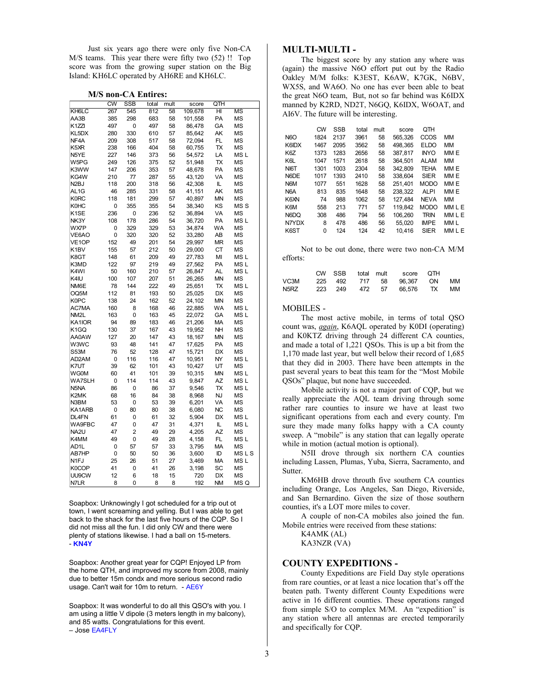Just six years ago there were only five Non-CA M/S teams. This year there were fifty two (52) !! Top score was from the growing super station on the Big Island: KH6LC operated by AH6RE and KH6LC.

#### **M/S non-CA Entires:**

|                    | $\overline{\text{cw}}$ | SSB            | total | mult | score   | QTH       |                 |
|--------------------|------------------------|----------------|-------|------|---------|-----------|-----------------|
| KH6LC              | 267                    | 545            | 812   | 58   | 109,678 | HI        | <b>MS</b>       |
| AA3B               | 385                    | 298            | 683   | 58   | 101,558 | PA        | <b>MS</b>       |
| K <sub>1</sub> ZZI | 497                    | 0              | 497   | 58   | 86,478  | GA        | MS              |
| KL5DX              | 280                    | 330            | 610   | 57   | 85,642  | AK        | <b>MS</b>       |
| NF <sub>4</sub> A  | 209                    | 308            | 517   | 58   | 72,094  | FL        | <b>MS</b>       |
| K5XR               | 238                    | 166            | 404   | 58   | 60,755  | TX        | <b>MS</b>       |
| N5YE               | 227                    | 146            | 373   | 56   | 54,572  | LA        | MS <sub>L</sub> |
| W5PG               | 249                    | 126            | 375   | 52   | 51,948  | TX        | <b>MS</b>       |
| K3WW               | 147                    | 206            | 353   | 57   | 48,678  | PA        | <b>MS</b>       |
| KG4W               | 210                    | 77             | 287   | 55   | 43,120  | VA        | ΜS              |
| N <sub>2</sub> BJ  | 118                    | 200            | 318   | 56   | 42,308  | IL.       | MS              |
| AL <sub>1G</sub>   | 46                     | 285            | 331   | 58   | 41,151  | AK        | <b>MS</b>       |
| <b>K0RC</b>        | 118                    | 181            | 299   | 57   | 40,897  | MN        | <b>MS</b>       |
| <b>K0HC</b>        | 0                      | 355            | 355   | 54   | 38,340  | ΚS        | MS S            |
| K <sub>1</sub> SE  | 236                    | 0              | 236   | 52   | 36,894  | VA        | <b>MS</b>       |
| NK3Y               | 108                    | 178            | 286   | 54   | 36,720  | PA        | MS <sub>L</sub> |
| WX7P               | 0                      | 329            | 329   | 53   | 34,874  | WA        | MS              |
| VE6AO              | 0                      | 320            | 320   | 52   | 33,280  | AB        | <b>MS</b>       |
| VE <sub>1</sub> OP | 152                    | 49             | 201   | 54   | 29,997  | <b>MR</b> | <b>MS</b>       |
| K1BV               | 155                    | 57             | 212   | 50   | 29,000  | СT        | <b>MS</b>       |
| K8GT               | 148                    | 61             | 209   | 49   | 27,783  | MI        | MS <sub>L</sub> |
| K3MD               | 122                    | 97             | 219   | 49   | 27,562  | <b>PA</b> | MS L            |
| K <sub>4</sub> WI  | 50                     | 160            | 210   | 57   |         | <b>AL</b> | MS <sub>L</sub> |
|                    |                        |                |       |      | 26,847  |           |                 |
| K4IU               | 100                    | 107            | 207   | 51   | 26,265  | MN        | <b>MS</b>       |
| NM6E               | 78                     | 144            | 222   | 49   | 25,651  | TX        | MS L            |
| OQ5M               | 112                    | 81             | 193   | 50   | 25,025  | DX        | <b>MS</b>       |
| K0PC               | 138                    | 24             | 162   | 52   | 24,102  | <b>MN</b> | <b>MS</b>       |
| AC7MA              | 160                    | 8              | 168   | 46   | 22,885  | <b>WA</b> | MS <sub>L</sub> |
| NM2L               | 163                    | 0              | 163   | 45   | 22,072  | GА        | MS L            |
| KA1IOR             | 94                     | 89             | 183   | 46   | 21,206  | <b>MA</b> | <b>MS</b>       |
| K <sub>1</sub> GQ  | 130                    | 37             | 167   | 43   | 19,952  | NH        | <b>MS</b>       |
| AA0AW              | 127                    | 20             | 147   | 43   | 18,167  | MΝ        | <b>MS</b>       |
| W3WC               | 93                     | 48             | 141   | 47   | 17,625  | PA        | ΜS              |
| S53M               | 76                     | 52             | 128   | 47   | 15,721  | <b>DX</b> | <b>MS</b>       |
| AD2AM              | 0                      | 116            | 116   | 47   | 10,951  | NY        | MS <sub>L</sub> |
| K7UT               | 39                     | 62             | 101   | 43   | 10,427  | UT        | <b>MS</b>       |
| <b>WG0M</b>        | 60                     | 41             | 101   | 39   | 10,315  | <b>MN</b> | MS <sub>L</sub> |
| WA7SLH             | 0                      | 114            | 114   | 43   | 9,847   | AZ        | MS <sub>L</sub> |
| N <sub>5</sub> NA  | 86                     | 0              | 86    | 37   | 9,546   | TX        | MS <sub>L</sub> |
| K2MK               | 68                     | 16             | 84    | 38   | 8,968   | <b>NJ</b> | <b>MS</b>       |
| N3BM               | 53                     | 0              | 53    | 39   | 6,201   | VA        | MS              |
| KA1ARB             | 0                      | 80             | 80    | 38   | 6,080   | <b>NC</b> | <b>MS</b>       |
| DL4FN              | 61                     | 0              | 61    | 32   | 5,904   | <b>DX</b> | MS <sub>L</sub> |
| WA9FBC             | 47                     | 0              | 47    | 31   | 4,371   | IL.       | MS L            |
| NA <sub>2U</sub>   | 47                     | $\overline{2}$ | 49    | 29   | 4,205   | <b>AZ</b> | <b>MS</b>       |
| K4MM               | 49                     | 0              | 49    | 28   | 4,158   | FL        | MS <sub>L</sub> |
| AD1L               | 0                      | 57             | 57    | 33   | 3,795   | МA        | <b>MS</b>       |
| AB7HP              | 0                      | 50             | 50    | 36   | 3,600   | ID        | <b>MSLS</b>     |
| N <sub>1FJ</sub>   | 25                     | 26             | 51    | 27   | 3,469   | МA        | MS L            |
| K0COP              | 41                     | 0              | 41    | 26   | 3,198   | SC        | <b>MS</b>       |
| UU9CW              | 12                     | 6              | 18    | 15   | 720     | DX        | <b>MS</b>       |
| N7LR               | 8                      | 0              | 8     | 8    | 192     | NΜ        | MS Q            |

Soapbox: Unknowingly I got scheduled for a trip out ot town, I went screaming and yelling. But I was able to get back to the shack for the last five hours of the CQP. So I did not miss all the fun. I did only CW and there were plenty of stations likewise. I had a ball on 15-meters. - **KN4Y**

Soapbox: Another great year for CQP! Enjoyed LP from the home QTH, and improved my score from 2008, mainly due to better 15m condx and more serious second radio usage. Can't wait for 10m to return. - AE6Y

Soapbox: It was wonderful to do all this QSO's with you. I am using a little V dipole (3 meters length in my balcony), and 85 watts. Congratulations for this event. – Jose EA4FLY

#### **MULTI-MULTI -**

The biggest score by any station any where was (again) the massive N6O effort put out by the Radio Oakley M/M folks: K3EST, K6AW, K7GK, N6BV, WX5S, and WA6O. No one has ever been able to beat the great N6O team, But, not so far behind was K6IDX manned by K2RD, ND2T, N6GQ, K6IDX, W6OAT, and AI6V. The future will be interesting.

|                  | <b>CW</b> | <b>SSB</b> | total | mult | score   | OТH         |        |
|------------------|-----------|------------|-------|------|---------|-------------|--------|
| <b>N6O</b>       | 1824      | 2137       | 3961  | 58   | 565.326 | CCOS        | MМ     |
| K6IDX            | 1467      | 2095       | 3562  | 58   | 498.365 | <b>ELDO</b> | ΜМ     |
| K6Z              | 1373      | 1283       | 2656  | 58   | 387.817 | <b>INYO</b> | MM E   |
| K6L              | 1047      | 1571       | 2618  | 58   | 364.501 | <b>ALAM</b> | MМ     |
| NI6T             | 1301      | 1003       | 2304  | 58   | 342.809 | <b>TEHA</b> | MM E   |
| N6DE             | 1017      | 1393       | 2410  | 58   | 338.604 | <b>SIER</b> | MM E   |
| N <sub>6</sub> M | 1077      | 551        | 1628  | 58   | 251.401 | <b>MODO</b> | MM E   |
| N <sub>6</sub> A | 813       | 835        | 1648  | 58   | 238.322 | <b>ALPI</b> | MM E   |
| K6XN             | 74        | 988        | 1062  | 58   | 127.484 | <b>NEVA</b> | MМ     |
| K6M              | 558       | 213        | 771   | 57   | 119.842 | <b>MODO</b> | MMLE   |
| N6DO             | 308       | 486        | 794   | 56   | 106.260 | <b>TRIN</b> | MM L E |
| N7YDX            | 8         | 478        | 486   | 56   | 55.020  | <b>IMPE</b> | MM L   |
| K6ST             | 0         | 124        | 124   | 42   | 10.416  | SIER        | MM L E |
|                  |           |            |       |      |         |             |        |

Not to be out done, there were two non-CA M/M efforts:

|      |  |  | CW SSB total mult score QTH |  |
|------|--|--|-----------------------------|--|
| VC3M |  |  | 225 492 717 58 96.367 ON MM |  |
| N5RZ |  |  | 223 249 472 57 66.576 TX MM |  |

#### MOBILES -

The most active mobile, in terms of total QSO count was, *again*, K6AQL operated by K0DI (operating) and K0KTZ driving through 24 different CA counties, and made a total of 1,221 QSOs. This is up a bit from the 1,170 made last year, but well below their record of 1,685 that they did in 2003. There have been attempts in the past several years to beat this team for the "Most Mobile QSOs" plaque, but none have succeeded.

Mobile activity is not a major part of CQP, but we really appreciate the AQL team driving through some rather rare counties to insure we have at least two significant operations from each and every county. I'm sure they made many folks happy with a CA county sweep. A "mobile" is any station that can legally operate while in motion (actual motion is optional).

N5II drove through six northern CA counties including Lassen, Plumas, Yuba, Sierra, Sacramento, and Sutter.

KM6HB drove throuth five southern CA counties including Orange, Los Angeles, San Diego, Riverside, and San Bernardino. Given the size of those southern counties, it's a LOT more miles to cover.

A couple of non-CA mobiles also joined the fun. Mobile entries were received from these stations:

K4AMK (AL)

KA3NZR (VA)

#### **COUNTY EXPEDITIONS -**

County Expeditions are Field Day style operations from rare counties, or at least a nice location that's off the beaten path. Twenty different County Expeditions were active in 16 different counties. These operations ranged from simple S/O to complex M/M. An "expedition" is any station where all antennas are erected temporarily and specifically for CQP.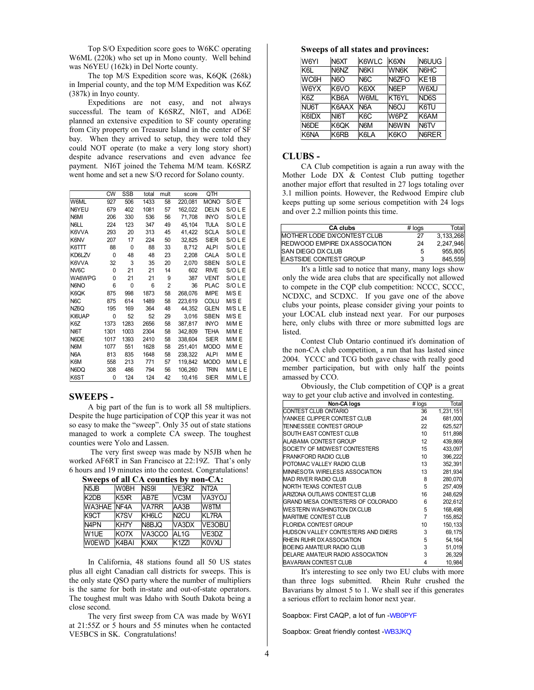Top S/O Expedition score goes to W6KC operating W6ML (220k) who set up in Mono county. Well behind was N6YEU (162k) in Del Norte county.

The top M/S Expedition score was, K6QK (268k) in Imperial county, and the top M/M Expedition was K6Z (387k) in Inyo county.

Expeditions are not easy, and not always successful. The team of K6SRZ, NI6T, and AD6E planned an extensive expedition to SF county operating from City property on Treasure Island in the center of SF bay. When they arrived to setup, they were told they could NOT operate (to make a very long story short) despite advance reservations and even advance fee payment. NI6T joined the Tehema M/M team. K6SRZ went home and set a new S/O record for Solano county.

|                  | <b>CW</b> | SSB  | total | mult | score   | QTH         |           |
|------------------|-----------|------|-------|------|---------|-------------|-----------|
| W6ML             | 927       | 506  | 1433  | 58   | 220,081 | <b>MONO</b> | S/O E     |
| N6YEU            | 679       | 402  | 1081  | 57   | 162.022 | <b>DELN</b> | S/OLE     |
| N6MI             | 206       | 330  | 536   | 56   | 71,708  | <b>INYO</b> | S/OLE     |
| N6LL             | 224       | 123  | 347   | 49   | 45,104  | TULA        | S/O L E   |
| K6VVA            | 293       | 20   | 313   | 45   | 41,422  | <b>SCLA</b> | S/OLE     |
| K6NV             | 207       | 17   | 224   | 50   | 32,825  | <b>SIER</b> | S/O L E   |
| K6TTT            | 88        | 0    | 88    | 33   | 8,712   | <b>ALPI</b> | S/OLE     |
| KD6LZV           | 0         | 48   | 48    | 23   | 2,208   | <b>CALA</b> | S/OLE     |
| K6VVA            | 32        | 3    | 35    | 20   | 2,070   | <b>SBEN</b> | S/OLE     |
| NV6C             | 0         | 21   | 21    | 14   | 602     | <b>RIVE</b> | S/O L E   |
| WA6WPG           | 0         | 21   | 21    | 9    | 387     | <b>VENT</b> | S/O L E   |
| N6NO             | 6         | 0    | 6     | 2    | 36      | <b>PLAC</b> | S/O L E   |
| K6QK             | 875       | 998  | 1873  | 58   | 268.076 | <b>IMPE</b> | M/S E     |
| N <sub>6</sub> C | 875       | 614  | 1489  | 58   | 223.619 | <b>COLU</b> | M/S E     |
| NZ6Q             | 195       | 169  | 364   | 48   | 44,352  | <b>GLEN</b> | M/S L E   |
| KI6UAP           | 0         | 52   | 52    | 29   | 3.016   | <b>SBEN</b> | M/S E     |
| K6Z              | 1373      | 1283 | 2656  | 58   | 387.817 | <b>INYO</b> | M/M E     |
| NI6T             | 1301      | 1003 | 2304  | 58   | 342,809 | TEHA        | M/M E     |
| N6DE             | 1017      | 1393 | 2410  | 58   | 338,604 | <b>SIER</b> | M/M E     |
| N6M              | 1077      | 551  | 1628  | 58   | 251,401 | <b>MODO</b> | M/M E     |
| N6A              | 813       | 835  | 1648  | 58   | 238,322 | <b>ALPI</b> | M/M E     |
| K6M              | 558       | 213  | 771   | 57   | 119,842 | <b>MODO</b> | M/M L E   |
| N6DQ             | 308       | 486  | 794   | 56   | 106,260 | <b>TRIN</b> | M/M L E   |
| K6ST             | 0         | 124  | 124   | 42   | 10,416  | <b>SIER</b> | $M/M$ L E |

### **SWEEPS -**

A big part of the fun is to work all 58 multipliers. Despite the huge participation of CQP this year it was not so easy to make the "sweep". Only 35 out of state stations managed to work a complete CA sweep. The toughest counties were Yolo and Lassen.

 The very first sweep was made by N5JB when he worked AF6RT in San Francisco at 22:19Z. That's only 6 hours and 19 minutes into the contest. Congratulations!

|                               |                  | Sweeps of all $CA$ counties by non-CA: |                   |                   |
|-------------------------------|------------------|----------------------------------------|-------------------|-------------------|
| N <sub>5</sub> J <sub>B</sub> | W0BH             | NS <sub>91</sub>                       | VE3RZ             | NT <sub>2</sub> A |
| K2DB                          | K <sub>5XR</sub> | AB7E                                   | VC <sub>3</sub> M | VA3YOJ            |
| <b>WA3HAE INF4A</b>           |                  | VA7RR                                  | AA3B              | W8TM              |
| K9CT                          | K7SV             | KH6LC                                  | N <sub>2</sub> CU | <b>KL7RA</b>      |
| N <sub>4</sub> PN             | KH7Y             | N8BJO                                  | VA3DX             | VE3OBU            |
| W1UE                          | KO7X             | VA3CCO                                 | AL <sub>1G</sub>  | VE3DZ             |
| <b>W0EWD</b>                  | K4BAI            | KX4X                                   | K1ZZ              | <b>K0VXU</b>      |

 **Sweeps of all CA counties by non-CA:**

In California, 48 stations found all 50 US states plus all eight Canadian call districts for sweeps. This is the only state QSO party where the number of multipliers is the same for both in-state and out-of-state operators. The toughest mult was Idaho with South Dakota being a close second.

The very first sweep from CA was made by W6YI at 21:55Z or 5 hours and 55 minutes when he contacted VE5BCS in SK. Congratulations!

#### **Sweeps of all states and provinces:**

| W6YI  | N <sub>6</sub> XT | K6WLC             | K6XN              | N6UUG             |
|-------|-------------------|-------------------|-------------------|-------------------|
| K6L   | N6NZ              | N <sub>6</sub> KI | WN6K              | N6HC              |
| WC6H  | <b>N6O</b>        | N <sub>6</sub> C  | N6ZFO             | KE <sub>1</sub> B |
| W6YX  | K6VO              | K6XX              | N6EP              | W6XU              |
| K6Z   | KB6A              | W6ML              | KT6YL             | ND6S              |
| NU6T  | K6AAX             | N <sub>6</sub> A  | N <sub>6</sub> OJ | K6TU              |
| K6IDX | NI6T              | K <sub>6</sub> C  | W6PZ              | K6AM              |
| N6DE  | K6OK              | N <sub>6</sub> M  | N6WIN             | N <sub>6TV</sub>  |
| K6NA  | K6RB              | K6LA              | K6KO              | N6RER             |

#### **CLUBS -**

CA Club competition is again a run away with the Mother Lode DX & Contest Club putting together another major effort that resulted in 27 logs totaling over 3.1 million points. However, the Redwood Empire club keeps putting up some serious competition with 24 logs and over 2.2 million points this time.

| <b>CA clubs</b>                       | $#$ logs | Total     |
|---------------------------------------|----------|-----------|
| <b>MOTHER LODE DX/CONTEST CLUB</b>    | 27       | 3,133,268 |
| <b>IREDWOOD EMPIRE DX ASSOCIATION</b> | 24       | 2,247,946 |
| <b>ISAN DIEGO DX CLUB</b>             | 5        | 955.805   |
| <b>EASTSIDE CONTEST GROUP</b>         | 3        | 845,559   |

It's a little sad to notice that many, many logs show only the wide area clubs that are specifically not allowed to compete in the CQP club competition: NCCC, SCCC, NCDXC, and SCDXC. If you gave one of the above clubs your points, please consider giving your points to your LOCAL club instead next year. For our purposes here, only clubs with three or more submitted logs are **listed** 

Contest Club Ontario continued it's domination of the non-CA club competition, a run that has lasted since 2004. YCCC and TCG both gave chase with really good member participation, but with only half the points amassed by CCO.

Obviously, the Club competition of CQP is a great way to get your club active and involved in contesting.

| Non-CA logs                        | # logs           | Total     |
|------------------------------------|------------------|-----------|
| CONTEST CLUB ONTARIO               | 36               | 1,231,151 |
| YANKEE CLIPPER CONTEST CLUB        | 24               | 681,000   |
| TENNESSEE CONTEST GROUP            | 22               | 625,527   |
| SOUTH EAST CONTEST CLUB            | 10               | 511,898   |
| ALABAMA CONTEST GROUP              | 12 <sup>12</sup> | 439,869   |
| SOCIETY OF MIDWEST CONTESTERS      | 15               | 433,097   |
| <b>FRANKFORD RADIO CLUB</b>        | 10               | 396,222   |
| POTOMAC VALLEY RADIO CLUB          | 13               | 352,391   |
| MINNESOTA WIRELESS ASSOCIATION     | 13               | 281,934   |
| <b>MAD RIVER RADIO CLUB</b>        | 8                | 280,070   |
| NORTH TEXAS CONTEST CLUB           | 5                | 257,409   |
| ARIZONA OUTLAWS CONTEST CLUB       | 16               | 248,629   |
| GRAND MESA CONTESTERS OF COLORADO  | 6                | 202,612   |
| WESTERN WASHINGTON DX CLUB         | 5                | 168,498   |
| <b>MARITIME CONTEST CLUB</b>       | 7                | 155,852   |
| <b>FLORIDA CONTEST GROUP</b>       | 10               | 150, 133  |
| HUDSON VALLEY CONTESTERS AND DXERS | 3                | 69,175    |
| RHEIN RUHR DX ASSOCIATION          | 5                | 54, 164   |
| BOEING AMATEUR RADIO CLUB          | 3                | 51,019    |
| DELARE AMATEUR RADIO ASSOCIATION   | 3                | 26,329    |
| <b>BAVARIAN CONTEST CLUB</b>       | 4                | 10,984    |
|                                    |                  |           |

It's interesting to see only two EU clubs with more than three logs submitted. Rhein Ruhr crushed the Bavarians by almost 5 to 1. We shall see if this generates a serious effort to reclaim honor next year.

Soapbox: First CAQP, a lot of fun -WB0PYF

Soapbox: Great friendly contest -WB3JKQ